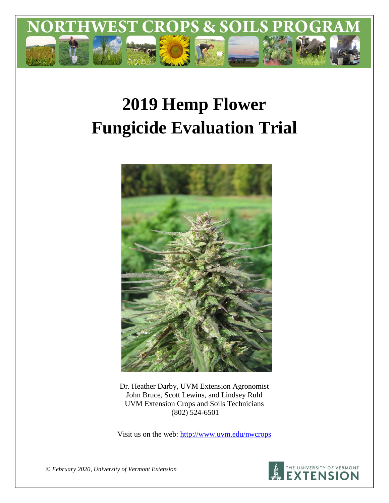

# **2019 Hemp Flower Fungicide Evaluation Trial**



Dr. Heather Darby, UVM Extension Agronomist John Bruce, Scott Lewins, and Lindsey Ruhl UVM Extension Crops and Soils Technicians (802) 524-6501

Visit us on the web:<http://www.uvm.edu/nwcrops>



*© February 2020, University of Vermont Extension*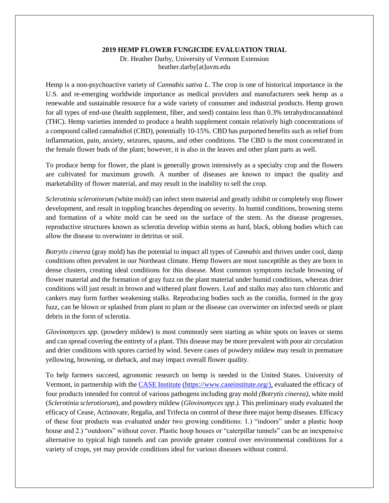#### **2019 HEMP FLOWER FUNGICIDE EVALUATION TRIAL**

Dr. Heather Darby, University of Vermont Extension heather.darby[at]uvm.edu

Hemp is a non-psychoactive variety of *Cannabis sativa L*. The crop is one of historical importance in the U.S. and re-emerging worldwide importance as medical providers and manufacturers seek hemp as a renewable and sustainable resource for a wide variety of consumer and industrial products. Hemp grown for all types of end-use (health supplement, fiber, and seed) contains less than 0.3% tetrahydrocannabinol (THC). Hemp varieties intended to produce a health supplement contain relatively high concentrations of a compound called cannabidiol (CBD), potentially 10-15%. CBD has purported benefits such as relief from inflammation, pain, anxiety, seizures, spasms, and other conditions. The CBD is the most concentrated in the female flower buds of the plant; however, it is also in the leaves and other plant parts as well.

To produce hemp for flower, the plant is generally grown intensively as a specialty crop and the flowers are cultivated for maximum growth. A number of diseases are known to impact the quality and marketability of flower material, and may result in the inability to sell the crop.

*Sclerotinia sclerotiorum (*white mold) can infect stem material and greatly inhibit or completely stop flower development, and result in toppling branches depending on severity. In humid conditions, browning stems and formation of a white mold can be seed on the surface of the stem. As the disease progresses, reproductive structures known as sclerotia develop within stems as hard, black, oblong bodies which can allow the disease to overwinter in detritus or soil.

*Botrytis cinerea* (gray mold) has the potential to impact all types of *Cannabis* and thrives under cool, damp conditions often prevalent in our Northeast climate. Hemp flowers are most susceptible as they are born in dense clusters, creating ideal conditions for this disease. Most common symptoms include browning of flower material and the formation of gray fuzz on the plant material under humid conditions, whereas drier conditions will just result in brown and withered plant flowers. Leaf and stalks may also turn chlorotic and cankers may form further weakening stalks. Reproducing bodies such as the conidia, formed in the gray fuzz, can be blown or splashed from plant to plant or the disease can overwinter on infected seeds or plant debris in the form of sclerotia.

*Glovinomyces spp.* (powdery mildew) is most commonly seen starting as white spots on leaves or stems and can spread covering the entirety of a plant. This disease may be more prevalent with poor air circulation and drier conditions with spores carried by wind. Severe cases of powdery mildew may result in premature yellowing, browning, or dieback, and may impact overall flower quality.

To help farmers succeed, agronomic research on hemp is needed in the United States. University of Vermont, in partnership with the [CASE Institute](https://www.caseinstitute.org/) (https://www.caseinstitute.org/), evaluated the efficacy of four products intended for control of various pathogens including gray mold *(Botrytis cinerea)*, white mold (*Sclerotinia sclerotiorum*), and powdery mildew (*Glovinomyces spp.).* This preliminary study evaluated the efficacy of Cease, Actinovate, Regalia, and Trifecta on control of these three major hemp diseases. Efficacy of these four products was evaluated under two growing conditions: 1.) "indoors" under a plastic hoop house and 2.) "outdoors" without cover. Plastic hoop houses or "caterpillar tunnels" can be an inexpensive alternative to typical high tunnels and can provide greater control over environmental conditions for a variety of crops, yet may provide conditions ideal for various diseases without control.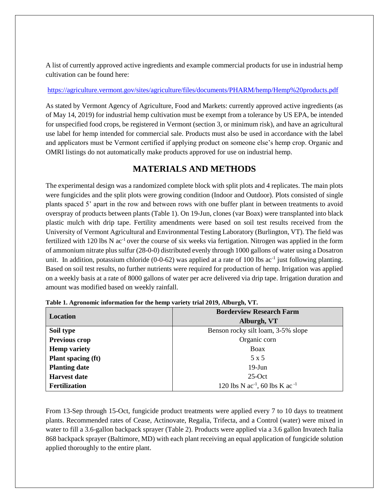A list of currently approved active ingredients and example commercial products for use in industrial hemp cultivation can be found here:

## <https://agriculture.vermont.gov/sites/agriculture/files/documents/PHARM/hemp/Hemp%20products.pdf>

As stated by Vermont Agency of Agriculture, Food and Markets: currently approved active ingredients (as of May 14, 2019) for industrial hemp cultivation must be exempt from a tolerance by US EPA, be intended for unspecified food crops, be registered in Vermont (section 3, or minimum risk), and have an agricultural use label for hemp intended for commercial sale. Products must also be used in accordance with the label and applicators must be Vermont certified if applying product on someone else's hemp crop. Organic and OMRI listings do not automatically make products approved for use on industrial hemp.

# **MATERIALS AND METHODS**

The experimental design was a randomized complete block with split plots and 4 replicates. The main plots were fungicides and the split plots were growing condition (Indoor and Outdoor). Plots consisted of single plants spaced 5' apart in the row and between rows with one buffer plant in between treatments to avoid overspray of products between plants (Table 1). On 19-Jun, clones (var Boax) were transplanted into black plastic mulch with drip tape. Fertility amendments were based on soil test results received from the University of Vermont Agricultural and Environmental Testing Laboratory (Burlington, VT). The field was fertilized with 120 lbs N ac<sup>-1</sup> over the course of six weeks via fertigation. Nitrogen was applied in the form of ammonium nitrate plus sulfur (28-0-0) distributed evenly through 1000 gallons of water using a Dosatron unit. In addition, potassium chloride  $(0-0-62)$  was applied at a rate of 100 lbs ac<sup>-1</sup> just following planting. Based on soil test results, no further nutrients were required for production of hemp. Irrigation was applied on a weekly basis at a rate of 8000 gallons of water per acre delivered via drip tape. Irrigation duration and amount was modified based on weekly rainfall.

|                      | <b>Borderview Research Farm</b>          |
|----------------------|------------------------------------------|
| Location             | Alburgh, VT                              |
| Soil type            | Benson rocky silt loam, 3-5% slope       |
| Previous crop        | Organic corn                             |
| <b>Hemp variety</b>  | Boax                                     |
| Plant spacing (ft)   | 5 x 5                                    |
| <b>Planting date</b> | $19$ -Jun                                |
| <b>Harvest date</b>  | $25$ -Oct                                |
| <b>Fertilization</b> | 120 lbs N $ac^{-1}$ , 60 lbs K $ac^{-1}$ |

**Table 1. Agronomic information for the hemp variety trial 2019, Alburgh, VT.**

From 13-Sep through 15-Oct, fungicide product treatments were applied every 7 to 10 days to treatment plants. Recommended rates of Cease, Actinovate, Regalia, Trifecta, and a Control (water) were mixed in water to fill a 3.6-gallon backpack sprayer (Table 2). Products were applied via a 3.6 gallon Invatech Italia 868 backpack sprayer (Baltimore, MD) with each plant receiving an equal application of fungicide solution applied thoroughly to the entire plant.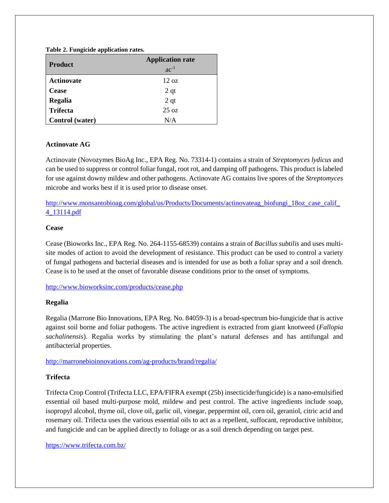## **Table 2. Fungicide application rates.**

| <b>Product</b>         | <b>Application rate</b><br>$ac^{-1}$ |
|------------------------|--------------------------------------|
| <b>Actinovate</b>      | $12 \text{ oz}$                      |
| <b>Cease</b>           | 2 <sub>qt</sub>                      |
| Regalia                | 2 <sub>qt</sub>                      |
| <b>Trifecta</b>        | $25 \text{ oz}$                      |
| <b>Control</b> (water) | N/A                                  |

## **Actinovate AG**

Actinovate (Novozymes BioAg Inc., EPA Reg. No. 73314-1) contains a strain of *Streptomyces lydicus* and can be used to suppress or control foliar fungal, root rot, and damping off pathogens. This product is labeled for use against downy mildew and other pathogens. Actinovate AG contains live spores of the *Streptomyces* microbe and works best if it is used prior to disease onset.

http://www.monsantobioag.com/global/us/Products/Documents/actinovateag\_biofungi\_18oz\_case\_calif [4\\_13114.pdf](http://www.monsantobioag.com/global/us/Products/Documents/actinovateag_biofungi_18oz_case_calif_4_13114.pdf)

## **Cease**

Cease (Bioworks Inc., EPA Reg. No. 264-1155-68539) contains a strain of *Bacillus subtilis* and uses multisite modes of action to avoid the development of resistance. This product can be used to control a variety of fungal pathogens and bacterial diseases and is intended for use as both a foliar spray and a soil drench. Cease is to be used at the onset of favorable disease conditions prior to the onset of symptoms.

<http://www.bioworksinc.com/products/cease.php>

## **Regalia**

Regalia (Marrone Bio Innovations, EPA Reg. No. 84059-3) is a broad-spectrum bio-fungicide that is active against soil borne and foliar pathogens. The active ingredient is extracted from giant knotweed (*Fallopia sachalinensis*). Regalia works by stimulating the plant's natural defenses and has antifungal and antibacterial properties.

<http://marronebioinnovations.com/ag-products/brand/regalia/>

## **Trifecta**

Trifecta Crop Control (Trifecta LLC, EPA/FIFRA exempt (25b) insecticide/fungicide) is a nano-emulsified essential oil based multi-purpose mold, mildew and pest control. The active ingredients include soap, isopropyl alcohol, thyme oil, clove oil, garlic oil, vinegar, peppermint oil, corn oil, geraniol, citric acid and rosemary oil. Trifecta uses the various essential oils to act as a repellent, suffocant, reproductive inhibitor, and fungicide and can be applied directly to foliage or as a soil drench depending on target pest.

<https://www.trifecta.com.bz/>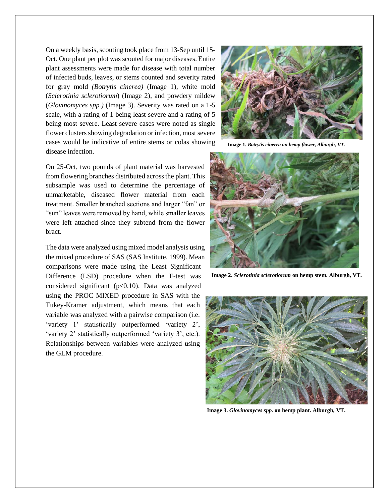On a weekly basis, scouting took place from 13-Sep until 15- Oct. One plant per plot was scouted for major diseases. Entire plant assessments were made for disease with total number of infected buds, leaves, or stems counted and severity rated for gray mold *(Botrytis cinerea)* (Image 1), white mold (*Sclerotinia sclerotiorum*) (Image 2), and powdery mildew (*Glovinomyces spp.)* (Image 3)*.* Severity was rated on a 1-5 scale, with a rating of 1 being least severe and a rating of 5 being most severe. Least severe cases were noted as single flower clusters showing degradation or infection, most severe cases would be indicative of entire stems or colas showing disease infection.

On 25-Oct, two pounds of plant material was harvested from flowering branches distributed across the plant. This subsample was used to determine the percentage of unmarketable, diseased flower material from each treatment. Smaller branched sections and larger "fan" or "sun" leaves were removed by hand, while smaller leaves were left attached since they subtend from the flower bract.

The data were analyzed using mixed model analysis using the mixed procedure of SAS (SAS Institute, 1999). Mean comparisons were made using the Least Significant Difference (LSD) procedure when the F-test was considered significant ( $p<0.10$ ). Data was analyzed using the PROC MIXED procedure in SAS with the Tukey-Kramer adjustment, which means that each variable was analyzed with a pairwise comparison (i.e. 'variety 1' statistically outperformed 'variety 2', 'variety 2' statistically outperformed 'variety 3', etc.). Relationships between variables were analyzed using the GLM procedure.



**Image 1.** *Botrytis cinerea on hemp flower, Alburgh, VT.*



**Image 2.** *Sclerotinia sclerotiorum* **on hemp stem. Alburgh, VT.**



**Image 3.** *Glovinomyces spp.* **on hemp plant. Alburgh, VT.**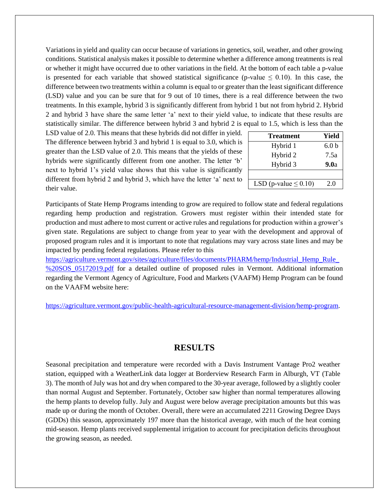Variations in yield and quality can occur because of variations in genetics, soil, weather, and other growing conditions. Statistical analysis makes it possible to determine whether a difference among treatments is real or whether it might have occurred due to other variations in the field. At the bottom of each table a p-value is presented for each variable that showed statistical significance (p-value  $\leq 0.10$ ). In this case, the difference between two treatments within a column is equal to or greater than the least significant difference (LSD) value and you can be sure that for 9 out of 10 times, there is a real difference between the two treatments. In this example, hybrid 3 is significantly different from hybrid 1 but not from hybrid 2. Hybrid 2 and hybrid 3 have share the same letter 'a' next to their yield value, to indicate that these results are statistically similar. The difference between hybrid 3 and hybrid 2 is equal to 1.5, which is less than the

LSD value of 2.0. This means that these hybrids did not differ in yield. The difference between hybrid 3 and hybrid 1 is equal to 3.0, which is greater than the LSD value of 2.0. This means that the yields of these hybrids were significantly different from one another. The letter 'b' next to hybrid 1's yield value shows that this value is significantly different from hybrid 2 and hybrid 3, which have the letter 'a' next to their value.

| <b>Treatment</b>           | Yield            |
|----------------------------|------------------|
| Hybrid 1                   | 6.0 <sub>b</sub> |
| Hybrid 2                   | 7.5a             |
| Hybrid 3                   | 9.0a             |
|                            |                  |
| LSD (p-value $\leq 0.10$ ) | 2.0              |
|                            |                  |

Participants of State Hemp Programs intending to grow are required to follow state and federal regulations regarding hemp production and registration. Growers must register within their intended state for production and must adhere to most current or active rules and regulations for production within a grower's given state. Regulations are subject to change from year to year with the development and approval of proposed program rules and it is important to note that regulations may vary across state lines and may be impacted by pending federal regulations. Please refer to this

https://agriculture.vermont.gov/sites/agriculture/files/documents/PHARM/hemp/Industrial Hemp Rule [%20SOS\\_05172019.pdf](https://agriculture.vermont.gov/sites/agriculture/files/documents/PHARM/hemp/Industrial_Hemp_Rule_%20SOS_05172019.pdf) for a detailed outline of proposed rules in Vermont. Additional information regarding the Vermont Agency of Agriculture, Food and Markets (VAAFM) Hemp Program can be found on the VAAFM website here:

[https://agriculture.vermont.gov/public-health-agricultural-resource-management-division/hemp-program.](https://agriculture.vermont.gov/public-health-agricultural-resource-management-division/hemp-program)

# **RESULTS**

Seasonal precipitation and temperature were recorded with a Davis Instrument Vantage Pro2 weather station, equipped with a WeatherLink data logger at Borderview Research Farm in Alburgh, VT (Table 3). The month of July was hot and dry when compared to the 30-year average, followed by a slightly cooler than normal August and September. Fortunately, October saw higher than normal temperatures allowing the hemp plants to develop fully. July and August were below average precipitation amounts but this was made up or during the month of October. Overall, there were an accumulated 2211 Growing Degree Days (GDDs) this season, approximately 197 more than the historical average, with much of the heat coming mid-season. Hemp plants received supplemental irrigation to account for precipitation deficits throughout the growing season, as needed.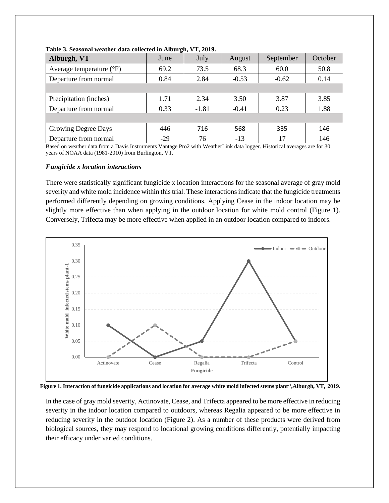| June  | July    | August  | September | October |
|-------|---------|---------|-----------|---------|
| 69.2  | 73.5    | 68.3    | 60.0      | 50.8    |
| 0.84  | 2.84    | $-0.53$ | $-0.62$   | 0.14    |
|       |         |         |           |         |
| 1.71  | 2.34    | 3.50    | 3.87      | 3.85    |
| 0.33  | $-1.81$ | $-0.41$ | 0.23      | 1.88    |
|       |         |         |           |         |
| 446   | 716     | 568     | 335       | 146     |
| $-29$ | 76      | $-13$   | 17        | 146     |
|       |         |         |           |         |

**Table 3. Seasonal weather data collected in Alburgh, VT, 2019.**

Based on weather data from a Davis Instruments Vantage Pro2 with WeatherLink data logger. Historical averages are for 30 years of NOAA data (1981-2010) from Burlington, VT.

#### *Fungicide x location interactions*

There were statistically significant fungicide x location interactions for the seasonal average of gray mold severity and white mold incidence within this trial. These interactions indicate that the fungicide treatments performed differently depending on growing conditions. Applying Cease in the indoor location may be slightly more effective than when applying in the outdoor location for white mold control (Figure 1). Conversely, Trifecta may be more effective when applied in an outdoor location compared to indoors.



**Figure 1. Interaction of fungicide applications and location for average white mold infected stems plant-1 ,Alburgh, VT, 2019.**

In the case of gray mold severity, Actinovate, Cease, and Trifecta appeared to be more effective in reducing severity in the indoor location compared to outdoors, whereas Regalia appeared to be more effective in reducing severity in the outdoor location (Figure 2). As a number of these products were derived from biological sources, they may respond to locational growing conditions differently, potentially impacting their efficacy under varied conditions.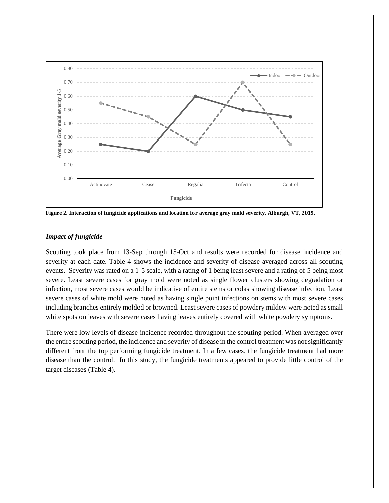

**Figure 2. Interaction of fungicide applications and location for average gray mold severity, Alburgh, VT, 2019.**

## *Impact of fungicide*

Scouting took place from 13-Sep through 15-Oct and results were recorded for disease incidence and severity at each date. Table 4 shows the incidence and severity of disease averaged across all scouting events. Severity was rated on a 1-5 scale, with a rating of 1 being least severe and a rating of 5 being most severe. Least severe cases for gray mold were noted as single flower clusters showing degradation or infection, most severe cases would be indicative of entire stems or colas showing disease infection. Least severe cases of white mold were noted as having single point infections on stems with most severe cases including branches entirely molded or browned. Least severe cases of powdery mildew were noted as small white spots on leaves with severe cases having leaves entirely covered with white powdery symptoms.

There were low levels of disease incidence recorded throughout the scouting period. When averaged over the entire scouting period, the incidence and severity of disease in the control treatment was not significantly different from the top performing fungicide treatment. In a few cases, the fungicide treatment had more disease than the control. In this study, the fungicide treatments appeared to provide little control of the target diseases (Table 4).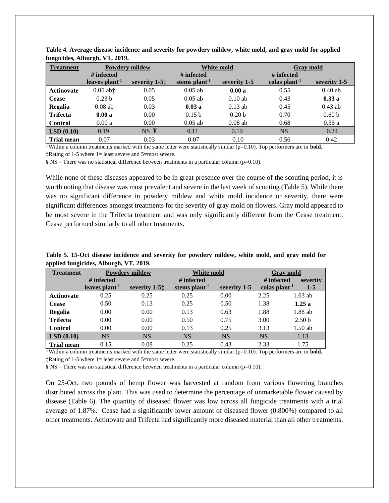| <b>Treatment</b>  | <b>Powdery mildew</b> |                  |                           | <b>White mold</b> |                           | <b>Grav</b> mold  |
|-------------------|-----------------------|------------------|---------------------------|-------------------|---------------------------|-------------------|
|                   | # infected            |                  | # infected                |                   | # infected                |                   |
|                   | leaves $plant1$       | severity $1-5$ . | stems plant <sup>-1</sup> | severity 1-5      | colas plant <sup>-1</sup> | severity 1-5      |
| <b>Actinovate</b> | $0.05$ ab†            | 0.05             | $0.05$ ab                 | 0.00a             | 0.55                      | $0.40$ ab         |
| <b>Cease</b>      | 0.23 <sub>b</sub>     | 0.05             | $0.05$ ab                 | $0.10$ ab         | 0.43                      | 0.33a             |
| Regalia           | $0.08$ ab             | 0.03             | 0.03a                     | $0.13$ ab         | 0.45                      | $0.43$ ab         |
| <b>Trifecta</b>   | 0.00a                 | 0.00             | 0.15 <sub>b</sub>         | 0.20 <sub>b</sub> | 0.70                      | 0.60 <sub>b</sub> |
| Control           | 0.00a                 | 0.00             | $0.05$ ab                 | $0.08$ ab         | 0.68                      | 0.35a             |
| LSD(0.10)         | 0.19                  | $NS \t{Y}$       | 0.11                      | 0.19              | <b>NS</b>                 | 0.24              |
| <b>Trial mean</b> | 0.07                  | 0.03             | 0.07                      | 0.10              | 0.56                      | 0.42              |

**Table 4. Average disease incidence and severity for powdery mildew, white mold, and gray mold for applied fungicides, Alburgh, VT, 2019.**

†Within a column treatments marked with the same letter were statistically similar (p=0.10). Top performers are in **bold. ‡**Rating of 1-5 where 1= least severe and 5=most severe.

**¥** NS – There was no statistical difference between treatments in a particular column (p=0.10).

While none of these diseases appeared to be in great presence over the course of the scouting period, it is worth noting that disease was most prevalent and severe in the last week of scouting (Table 5). While there was no significant difference in powdery mildew and white mold incidence or severity, there were significant differences amongst treatments for the severity of gray mold on flowers. Gray mold appeared to be most severe in the Trifecta treatment and was only significantly different from the Cease treatment. Cease performed similarly to all other treatments.

| Table 5. 15-Oct disease incidence and severity for powdery mildew, white mold, and gray mold for |  |  |  |  |  |
|--------------------------------------------------------------------------------------------------|--|--|--|--|--|
| applied fungicides, Alburgh, VT, 2019.                                                           |  |  |  |  |  |

| <b>Treatment</b>  |                  | <b>Powdery mildew</b> | White mold                |              | <b>Gray mold</b>          |                   |  |
|-------------------|------------------|-----------------------|---------------------------|--------------|---------------------------|-------------------|--|
|                   | # infected       |                       | # infected                |              | # infected                | severity          |  |
|                   | leaves $plant-1$ | severity $1-5$ .      | stems plant <sup>-1</sup> | severity 1-5 | colas plant <sup>-1</sup> | $1-5$             |  |
| <b>Actinovate</b> | 0.25             | 0.25                  | 0.25                      | 0.00         | 2.25                      | $1.63$ ab         |  |
| <b>Cease</b>      | 0.50             | 0.13                  | 0.25                      | 0.50         | 1.38                      | 1.25a             |  |
| Regalia           | 0.00             | 0.00                  | 0.13                      | 0.63         | 1.88                      | 1.88 ab           |  |
| <b>Trifecta</b>   | 0.00             | 0.00                  | 0.50                      | 0.75         | 3.00                      | 2.50 <sub>b</sub> |  |
| Control           | 0.00             | 0.00                  | 0.13                      | 0.25         | 3.13                      | $1.50$ ab         |  |
| LSD(0.10)         | <b>NS</b>        | <b>NS</b>             | <b>NS</b>                 | <b>NS</b>    | <b>NS</b>                 | 1.13              |  |
| <b>Trial mean</b> | 0.15             | 0.08                  | 0.25                      | 0.43         | 2.33                      | 1.75              |  |

†Within a column treatments marked with the same letter were statistically similar (p=0.10). Top performers are in **bold. ‡**Rating of 1-5 where 1= least severe and 5=most severe.

**¥** NS – There was no statistical difference between treatments in a particular column (p=0.10).

On 25-Oct, two pounds of hemp flower was harvested at random from various flowering branches distributed across the plant. This was used to determine the percentage of unmarketable flower caused by disease (Table 6). The quantity of diseased flower was low across all fungicide treatments with a trial average of 1.87%. Cease had a significantly lower amount of diseased flower (0.800%) compared to all other treatments. Actinovate and Trifecta had significantly more diseased material than all other treatments.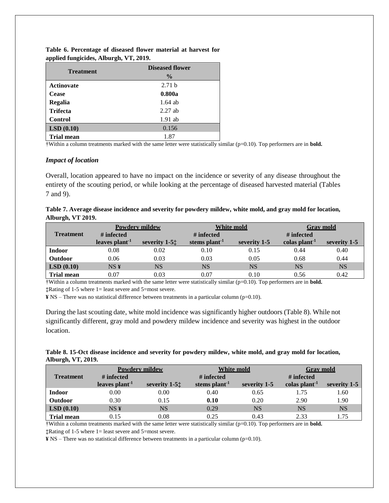| <b>Treatment</b>  | <b>Diseased flower</b> |
|-------------------|------------------------|
|                   | $\frac{6}{9}$          |
| <b>Actinovate</b> | 2.71 <sub>b</sub>      |
| <b>Cease</b>      | 0.800a                 |
| <b>Regalia</b>    | $1.64$ ab              |
| <b>Trifecta</b>   | $2.27$ ab              |
| <b>Control</b>    | $1.91$ ab              |
| LSD(0.10)         | 0.156                  |
| <b>Trial mean</b> | 1.87                   |

**Table 6. Percentage of diseased flower material at harvest for applied fungicides, Alburgh, VT, 2019.**

†Within a column treatments marked with the same letter were statistically similar (p=0.10). Top performers are in **bold.** 

## *Impact of location*

Overall, location appeared to have no impact on the incidence or severity of any disease throughout the entirety of the scouting period, or while looking at the percentage of diseased harvested material (Tables 7 and 9).

| Table 7. Average disease incidence and severity for powdery mildew, white mold, and gray mold for location, |  |
|-------------------------------------------------------------------------------------------------------------|--|
| Alburgh, VT 2019.                                                                                           |  |

|                       | <b>Powdery mildew</b> |                                            | <b>White mold</b>         |              | <b>Grav</b> mold          |              |
|-----------------------|-----------------------|--------------------------------------------|---------------------------|--------------|---------------------------|--------------|
| <b>Treatment</b>      | # infected            |                                            | $\#$ infected             |              | $#$ infected              |              |
|                       | leaves $plant1$       | severity $1-5$ <sup><math>\pm</math></sup> | stems plant <sup>-1</sup> | severity 1-5 | colas plant <sup>-1</sup> | severity 1-5 |
| <b>Indoor</b>         | 0.08                  | 0.02                                       | 0.10                      | 0.15         | 0.44                      | 0.40         |
| <b>Outdoor</b>        | 0.06                  | 0.03                                       | 0.03                      | 0.05         | 0.68                      | 0.44         |
| $\mathbf{LSD}$ (0.10) | NS <sub>Y</sub>       | <b>NS</b>                                  | <b>NS</b>                 | <b>NS</b>    | NS                        | <b>NS</b>    |
| <b>Trial mean</b>     | 0.07                  | 0.03                                       | 0.07                      | 0.10         | 0.56                      | 0.42         |

†Within a column treatments marked with the same letter were statistically similar (p=0.10). Top performers are in **bold. ‡**Rating of 1-5 where 1= least severe and 5=most severe.

**¥** NS – There was no statistical difference between treatments in a particular column (p=0.10).

During the last scouting date, white mold incidence was significantly higher outdoors (Table 8). While not significantly different, gray mold and powdery mildew incidence and severity was highest in the outdoor location.

## **Table 8. 15-Oct disease incidence and severity for powdery mildew, white mold, and gray mold for location, Alburgh, VT, 2019.**

|                   |                 | <b>Powdery mildew</b> | <b>White mold</b>         |              | <b>Grav</b> mold          |              |
|-------------------|-----------------|-----------------------|---------------------------|--------------|---------------------------|--------------|
| <b>Treatment</b>  | # infected      |                       | # infected                |              | # infected                |              |
|                   | leaves $plant1$ | severity $1-5$ .      | stems plant <sup>-1</sup> | severity 1-5 | colas plant <sup>-1</sup> | severity 1-5 |
| <b>Indoor</b>     | 0.00            | 0.00                  | 0.40                      | 0.65         | 1.75                      | 1.60         |
| <b>Outdoor</b>    | 0.30            | 0.15                  | 0.10                      | 0.20         | 2.90                      | 1.90         |
| LSD(0.10)         | NS <sub>Y</sub> | NS                    | 0.29                      | NS           | <b>NS</b>                 | <b>NS</b>    |
| <b>Trial mean</b> | 0.15            | 0.08                  | 0.25                      | 0.43         | 2.33                      | 1.75         |

†Within a column treatments marked with the same letter were statistically similar (p=0.10). Top performers are in **bold. ‡**Rating of 1-5 where 1= least severe and 5=most severe.

**¥** NS – There was no statistical difference between treatments in a particular column (p=0.10).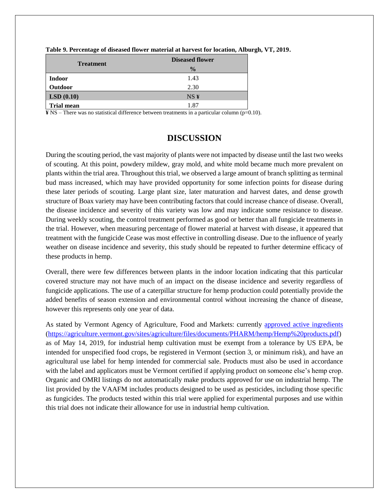| <b>Treatment</b>  | <b>Diseased flower</b> |
|-------------------|------------------------|
|                   | $\frac{0}{0}$          |
| <b>Indoor</b>     | 1.43                   |
| Outdoor           | 2.30                   |
| LSD(0.10)         | NS <sub>Y</sub>        |
| <b>Trial mean</b> | 1.87                   |

|  | Table 9. Percentage of diseased flower material at harvest for location, Alburgh, VT, 2019. |  |  |
|--|---------------------------------------------------------------------------------------------|--|--|
|  |                                                                                             |  |  |

**¥** NS – There was no statistical difference between treatments in a particular column (p=0.10).

# **DISCUSSION**

During the scouting period, the vast majority of plants were not impacted by disease until the last two weeks of scouting. At this point, powdery mildew, gray mold, and white mold became much more prevalent on plants within the trial area. Throughout this trial, we observed a large amount of branch splitting as terminal bud mass increased, which may have provided opportunity for some infection points for disease during these later periods of scouting. Large plant size, later maturation and harvest dates, and dense growth structure of Boax variety may have been contributing factors that could increase chance of disease. Overall, the disease incidence and severity of this variety was low and may indicate some resistance to disease. During weekly scouting, the control treatment performed as good or better than all fungicide treatments in the trial. However, when measuring percentage of flower material at harvest with disease, it appeared that treatment with the fungicide Cease was most effective in controlling disease. Due to the influence of yearly weather on disease incidence and severity, this study should be repeated to further determine efficacy of these products in hemp.

Overall, there were few differences between plants in the indoor location indicating that this particular covered structure may not have much of an impact on the disease incidence and severity regardless of fungicide applications. The use of a caterpillar structure for hemp production could potentially provide the added benefits of season extension and environmental control without increasing the chance of disease, however this represents only one year of data.

As stated by Vermont Agency of Agriculture, Food and Markets: currently [approved active ingredients](https://agriculture.vermont.gov/sites/agriculture/files/documents/PHARM/hemp/Hemp%20products.pdf) [\(https://agriculture.vermont.gov/sites/agriculture/files/documents/PHARM/hemp/Hemp%20products.pdf\)](https://agriculture.vermont.gov/sites/agriculture/files/documents/PHARM/hemp/Hemp%20products.pdf) as of May 14, 2019, for industrial hemp cultivation must be exempt from a tolerance by US EPA, be intended for unspecified food crops, be registered in Vermont (section 3, or minimum risk), and have an agricultural use label for hemp intended for commercial sale. Products must also be used in accordance with the label and applicators must be Vermont certified if applying product on someone else's hemp crop. Organic and OMRI listings do not automatically make products approved for use on industrial hemp. The list provided by the VAAFM includes products designed to be used as pesticides, including those specific as fungicides. The products tested within this trial were applied for experimental purposes and use within this trial does not indicate their allowance for use in industrial hemp cultivation.